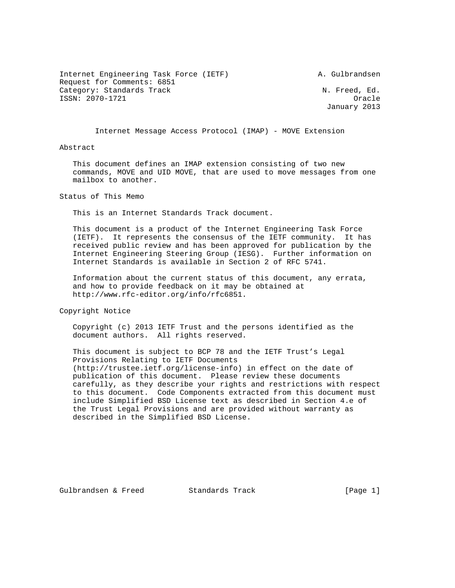Internet Engineering Task Force (IETF) A. Gulbrandsen Request for Comments: 6851 Category: Standards Track N. Freed, Ed. ISSN: 2070-1721 Oracle

January 2013

Internet Message Access Protocol (IMAP) - MOVE Extension

Abstract

 This document defines an IMAP extension consisting of two new commands, MOVE and UID MOVE, that are used to move messages from one mailbox to another.

Status of This Memo

This is an Internet Standards Track document.

 This document is a product of the Internet Engineering Task Force (IETF). It represents the consensus of the IETF community. It has received public review and has been approved for publication by the Internet Engineering Steering Group (IESG). Further information on Internet Standards is available in Section 2 of RFC 5741.

 Information about the current status of this document, any errata, and how to provide feedback on it may be obtained at http://www.rfc-editor.org/info/rfc6851.

Copyright Notice

 Copyright (c) 2013 IETF Trust and the persons identified as the document authors. All rights reserved.

 This document is subject to BCP 78 and the IETF Trust's Legal Provisions Relating to IETF Documents (http://trustee.ietf.org/license-info) in effect on the date of publication of this document. Please review these documents carefully, as they describe your rights and restrictions with respect to this document. Code Components extracted from this document must include Simplified BSD License text as described in Section 4.e of the Trust Legal Provisions and are provided without warranty as described in the Simplified BSD License.

Gulbrandsen & Freed Standards Track [Page 1]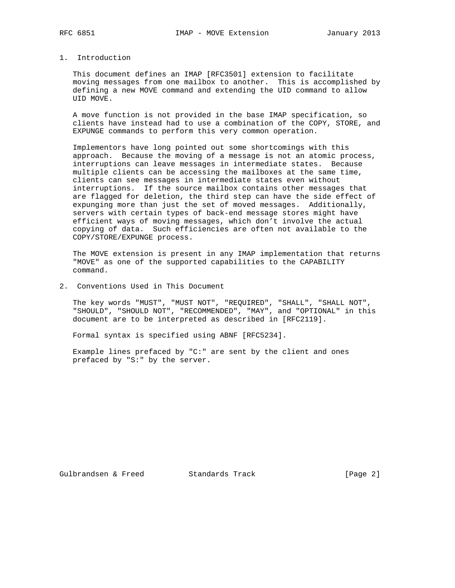## 1. Introduction

 This document defines an IMAP [RFC3501] extension to facilitate moving messages from one mailbox to another. This is accomplished by defining a new MOVE command and extending the UID command to allow UID MOVE.

 A move function is not provided in the base IMAP specification, so clients have instead had to use a combination of the COPY, STORE, and EXPUNGE commands to perform this very common operation.

 Implementors have long pointed out some shortcomings with this approach. Because the moving of a message is not an atomic process, interruptions can leave messages in intermediate states. Because multiple clients can be accessing the mailboxes at the same time, clients can see messages in intermediate states even without interruptions. If the source mailbox contains other messages that are flagged for deletion, the third step can have the side effect of expunging more than just the set of moved messages. Additionally, servers with certain types of back-end message stores might have efficient ways of moving messages, which don't involve the actual copying of data. Such efficiencies are often not available to the COPY/STORE/EXPUNGE process.

 The MOVE extension is present in any IMAP implementation that returns "MOVE" as one of the supported capabilities to the CAPABILITY command.

2. Conventions Used in This Document

 The key words "MUST", "MUST NOT", "REQUIRED", "SHALL", "SHALL NOT", "SHOULD", "SHOULD NOT", "RECOMMENDED", "MAY", and "OPTIONAL" in this document are to be interpreted as described in [RFC2119].

Formal syntax is specified using ABNF [RFC5234].

 Example lines prefaced by "C:" are sent by the client and ones prefaced by "S:" by the server.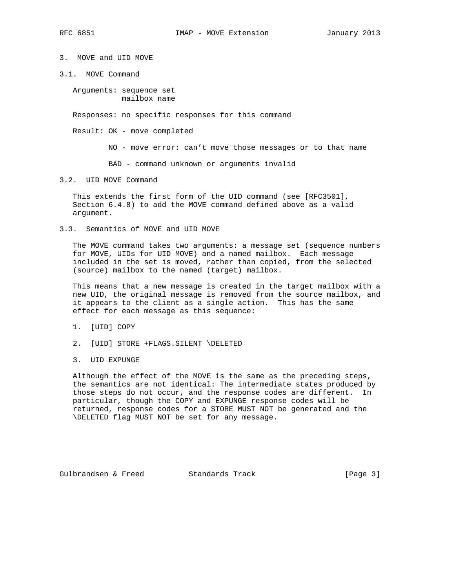3. MOVE and UID MOVE

3.1. MOVE Command

 Arguments: sequence set mailbox name

Responses: no specific responses for this command

Result: OK - move completed

NO - move error: can't move those messages or to that name

BAD - command unknown or arguments invalid

## 3.2. UID MOVE Command

 This extends the first form of the UID command (see [RFC3501], Section 6.4.8) to add the MOVE command defined above as a valid argument.

3.3. Semantics of MOVE and UID MOVE

 The MOVE command takes two arguments: a message set (sequence numbers for MOVE, UIDs for UID MOVE) and a named mailbox. Each message included in the set is moved, rather than copied, from the selected (source) mailbox to the named (target) mailbox.

 This means that a new message is created in the target mailbox with a new UID, the original message is removed from the source mailbox, and it appears to the client as a single action. This has the same effect for each message as this sequence:

1. [UID] COPY

- 2. [UID] STORE +FLAGS.SILENT \DELETED
- 3. UID EXPUNGE

 Although the effect of the MOVE is the same as the preceding steps, the semantics are not identical: The intermediate states produced by those steps do not occur, and the response codes are different. In particular, though the COPY and EXPUNGE response codes will be returned, response codes for a STORE MUST NOT be generated and the \DELETED flag MUST NOT be set for any message.

Gulbrandsen & Freed Standards Track [Page 3]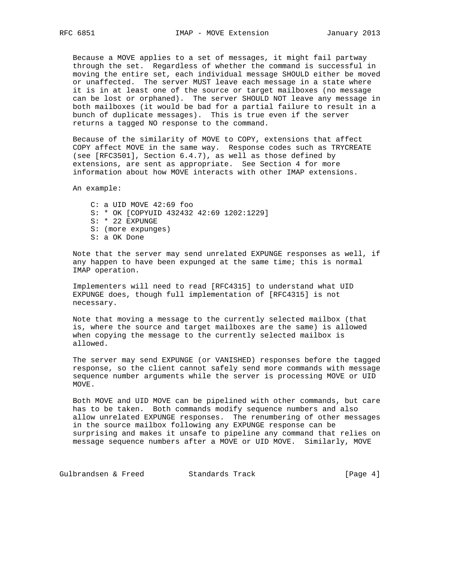Because a MOVE applies to a set of messages, it might fail partway through the set. Regardless of whether the command is successful in moving the entire set, each individual message SHOULD either be moved or unaffected. The server MUST leave each message in a state where it is in at least one of the source or target mailboxes (no message can be lost or orphaned). The server SHOULD NOT leave any message in both mailboxes (it would be bad for a partial failure to result in a bunch of duplicate messages). This is true even if the server returns a tagged NO response to the command.

 Because of the similarity of MOVE to COPY, extensions that affect COPY affect MOVE in the same way. Response codes such as TRYCREATE (see [RFC3501], Section 6.4.7), as well as those defined by extensions, are sent as appropriate. See Section 4 for more information about how MOVE interacts with other IMAP extensions.

An example:

 C: a UID MOVE 42:69 foo S: \* OK [COPYUID 432432 42:69 1202:1229] S: \* 22 EXPUNGE S: (more expunges) S: a OK Done

 Note that the server may send unrelated EXPUNGE responses as well, if any happen to have been expunged at the same time; this is normal IMAP operation.

 Implementers will need to read [RFC4315] to understand what UID EXPUNGE does, though full implementation of [RFC4315] is not necessary.

 Note that moving a message to the currently selected mailbox (that is, where the source and target mailboxes are the same) is allowed when copying the message to the currently selected mailbox is allowed.

 The server may send EXPUNGE (or VANISHED) responses before the tagged response, so the client cannot safely send more commands with message sequence number arguments while the server is processing MOVE or UID MOVE.

 Both MOVE and UID MOVE can be pipelined with other commands, but care has to be taken. Both commands modify sequence numbers and also allow unrelated EXPUNGE responses. The renumbering of other messages in the source mailbox following any EXPUNGE response can be surprising and makes it unsafe to pipeline any command that relies on message sequence numbers after a MOVE or UID MOVE. Similarly, MOVE

Gulbrandsen & Freed Standards Track [Page 4]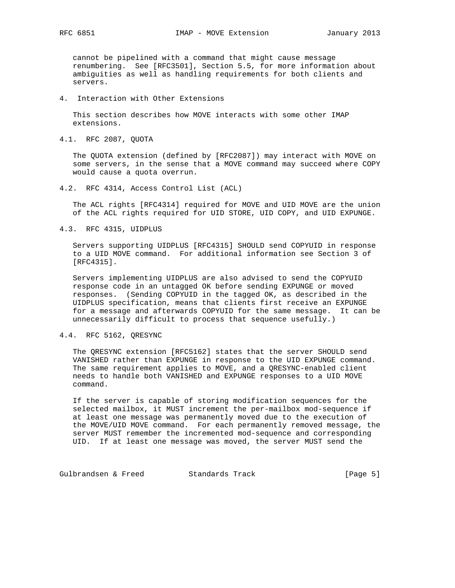cannot be pipelined with a command that might cause message renumbering. See [RFC3501], Section 5.5, for more information about ambiguities as well as handling requirements for both clients and servers.

4. Interaction with Other Extensions

 This section describes how MOVE interacts with some other IMAP extensions.

4.1. RFC 2087, QUOTA

 The QUOTA extension (defined by [RFC2087]) may interact with MOVE on some servers, in the sense that a MOVE command may succeed where COPY would cause a quota overrun.

4.2. RFC 4314, Access Control List (ACL)

 The ACL rights [RFC4314] required for MOVE and UID MOVE are the union of the ACL rights required for UID STORE, UID COPY, and UID EXPUNGE.

4.3. RFC 4315, UIDPLUS

 Servers supporting UIDPLUS [RFC4315] SHOULD send COPYUID in response to a UID MOVE command. For additional information see Section 3 of [RFC4315].

 Servers implementing UIDPLUS are also advised to send the COPYUID response code in an untagged OK before sending EXPUNGE or moved responses. (Sending COPYUID in the tagged OK, as described in the UIDPLUS specification, means that clients first receive an EXPUNGE for a message and afterwards COPYUID for the same message. It can be unnecessarily difficult to process that sequence usefully.)

4.4. RFC 5162, QRESYNC

 The QRESYNC extension [RFC5162] states that the server SHOULD send VANISHED rather than EXPUNGE in response to the UID EXPUNGE command. The same requirement applies to MOVE, and a QRESYNC-enabled client needs to handle both VANISHED and EXPUNGE responses to a UID MOVE command.

 If the server is capable of storing modification sequences for the selected mailbox, it MUST increment the per-mailbox mod-sequence if at least one message was permanently moved due to the execution of the MOVE/UID MOVE command. For each permanently removed message, the server MUST remember the incremented mod-sequence and corresponding UID. If at least one message was moved, the server MUST send the

Gulbrandsen & Freed Standards Track [Page 5]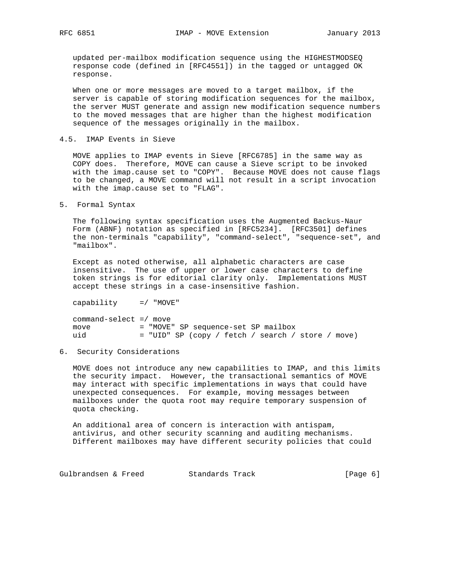updated per-mailbox modification sequence using the HIGHESTMODSEQ response code (defined in [RFC4551]) in the tagged or untagged OK response.

 When one or more messages are moved to a target mailbox, if the server is capable of storing modification sequences for the mailbox, the server MUST generate and assign new modification sequence numbers to the moved messages that are higher than the highest modification sequence of the messages originally in the mailbox.

4.5. IMAP Events in Sieve

 MOVE applies to IMAP events in Sieve [RFC6785] in the same way as COPY does. Therefore, MOVE can cause a Sieve script to be invoked with the imap.cause set to "COPY". Because MOVE does not cause flags to be changed, a MOVE command will not result in a script invocation with the imap.cause set to "FLAG".

5. Formal Syntax

 The following syntax specification uses the Augmented Backus-Naur Form (ABNF) notation as specified in [RFC5234]. [RFC3501] defines the non-terminals "capability", "command-select", "sequence-set", and "mailbox".

 Except as noted otherwise, all alphabetic characters are case insensitive. The use of upper or lower case characters to define token strings is for editorial clarity only. Implementations MUST accept these strings in a case-insensitive fashion.

capability =/ "MOVE"

| $command-set = /\ m$ |                                                     |
|----------------------|-----------------------------------------------------|
| move                 | = "MOVE" SP sequence-set SP mailbox                 |
| uid                  | $=$ "UID" SP (copy / fetch / search / store / move) |

6. Security Considerations

 MOVE does not introduce any new capabilities to IMAP, and this limits the security impact. However, the transactional semantics of MOVE may interact with specific implementations in ways that could have unexpected consequences. For example, moving messages between mailboxes under the quota root may require temporary suspension of quota checking.

 An additional area of concern is interaction with antispam, antivirus, and other security scanning and auditing mechanisms. Different mailboxes may have different security policies that could

Gulbrandsen & Freed Standards Track [Page 6]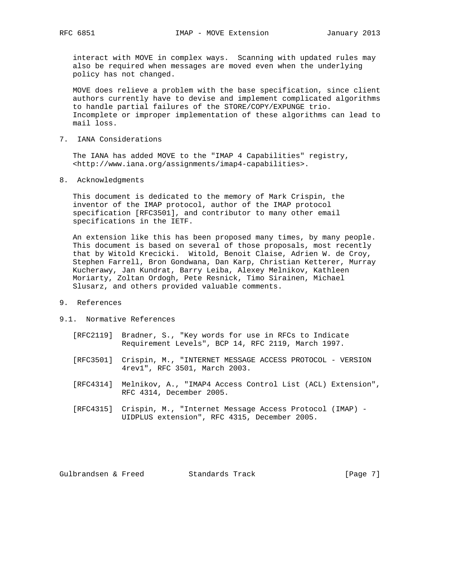interact with MOVE in complex ways. Scanning with updated rules may also be required when messages are moved even when the underlying policy has not changed.

 MOVE does relieve a problem with the base specification, since client authors currently have to devise and implement complicated algorithms to handle partial failures of the STORE/COPY/EXPUNGE trio. Incomplete or improper implementation of these algorithms can lead to mail loss.

7. IANA Considerations

 The IANA has added MOVE to the "IMAP 4 Capabilities" registry, <http://www.iana.org/assignments/imap4-capabilities>.

8. Acknowledgments

 This document is dedicated to the memory of Mark Crispin, the inventor of the IMAP protocol, author of the IMAP protocol specification [RFC3501], and contributor to many other email specifications in the IETF.

 An extension like this has been proposed many times, by many people. This document is based on several of those proposals, most recently that by Witold Krecicki. Witold, Benoit Claise, Adrien W. de Croy, Stephen Farrell, Bron Gondwana, Dan Karp, Christian Ketterer, Murray Kucherawy, Jan Kundrat, Barry Leiba, Alexey Melnikov, Kathleen Moriarty, Zoltan Ordogh, Pete Resnick, Timo Sirainen, Michael Slusarz, and others provided valuable comments.

## 9. References

## 9.1. Normative References

- [RFC2119] Bradner, S., "Key words for use in RFCs to Indicate Requirement Levels", BCP 14, RFC 2119, March 1997.
- [RFC3501] Crispin, M., "INTERNET MESSAGE ACCESS PROTOCOL VERSION 4rev1", RFC 3501, March 2003.
- [RFC4314] Melnikov, A., "IMAP4 Access Control List (ACL) Extension", RFC 4314, December 2005.
- [RFC4315] Crispin, M., "Internet Message Access Protocol (IMAP) UIDPLUS extension", RFC 4315, December 2005.

Gulbrandsen & Freed Standards Track [Page 7]